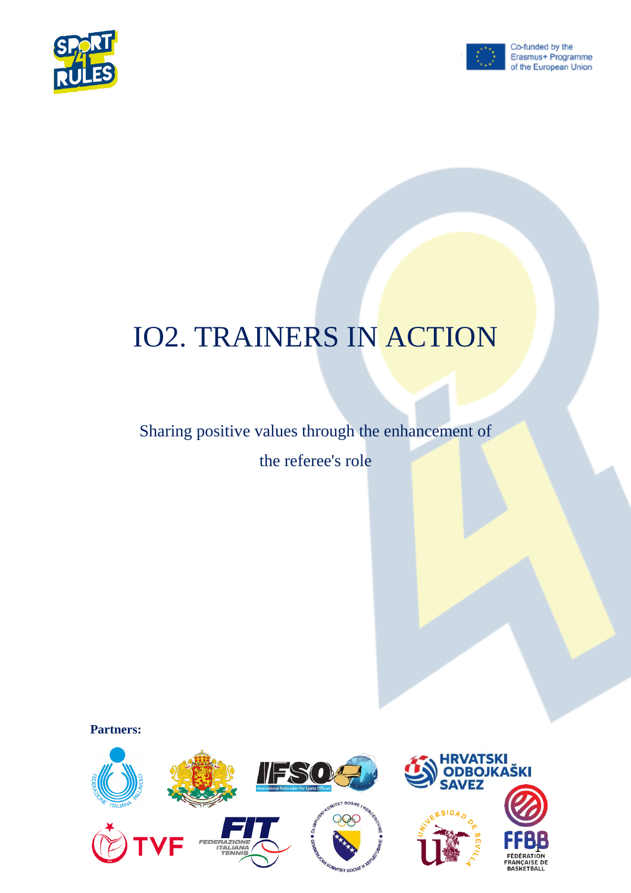



# IO2. TRAINERS IN ACTION

# Sharing positive values through the enhancement of

the referee's role

**Partners:**

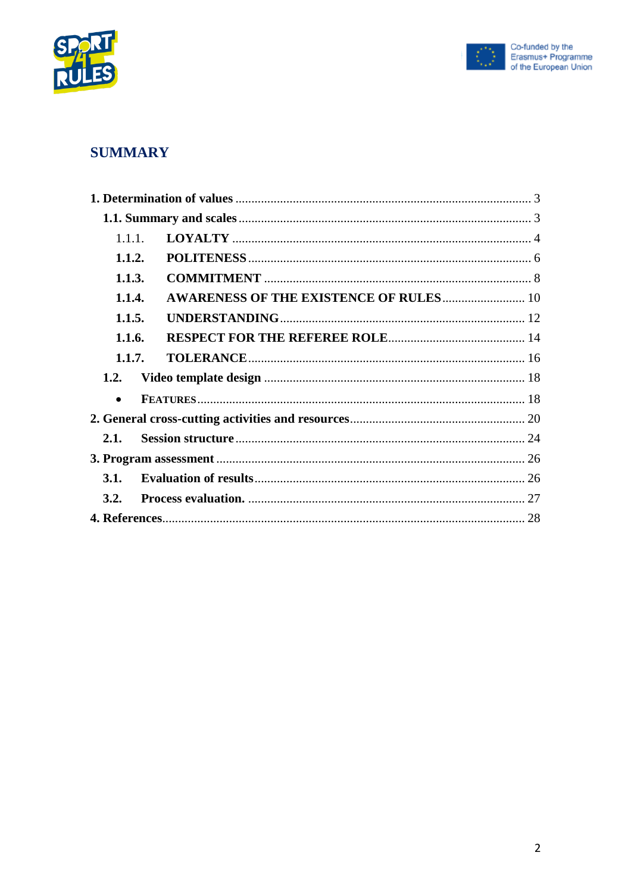



## **SUMMARY**

| 1.1.1     |                                               |  |
|-----------|-----------------------------------------------|--|
| 1.1.2.    |                                               |  |
| 1.1.3.    |                                               |  |
| 1.1.4.    | <b>AWARENESS OF THE EXISTENCE OF RULES 10</b> |  |
| 1.1.5.    |                                               |  |
| 1.1.6.    |                                               |  |
| 1.1.7.    |                                               |  |
| 1.2.      |                                               |  |
| $\bullet$ |                                               |  |
|           |                                               |  |
| 2.1.      |                                               |  |
|           |                                               |  |
| 3.1.      |                                               |  |
| 3.2.      |                                               |  |
|           |                                               |  |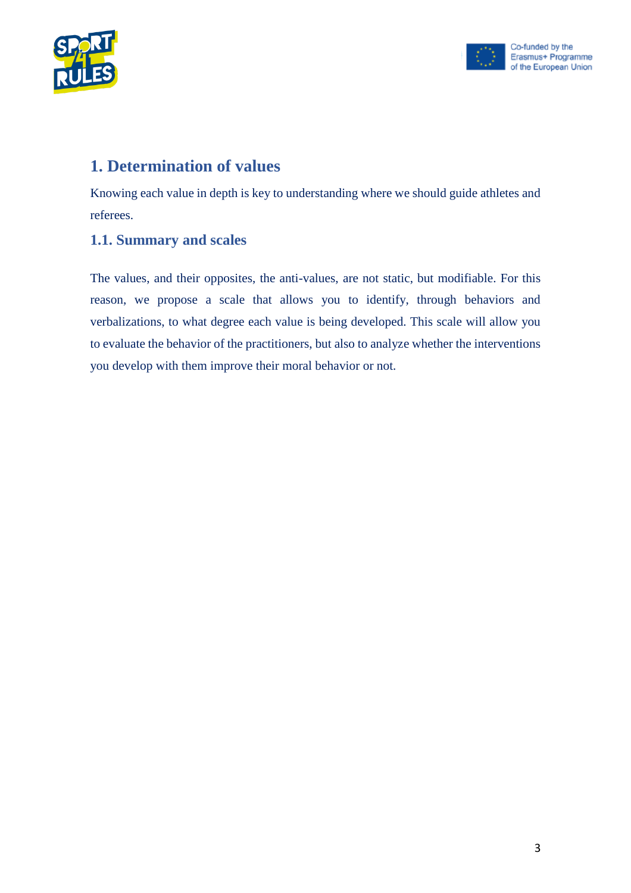



# <span id="page-2-0"></span>**1. Determination of values**

Knowing each value in depth is key to understanding where we should guide athletes and referees.

#### <span id="page-2-1"></span>**1.1. Summary and scales**

The values, and their opposites, the anti-values, are not static, but modifiable. For this reason, we propose a scale that allows you to identify, through behaviors and verbalizations, to what degree each value is being developed. This scale will allow you to evaluate the behavior of the practitioners, but also to analyze whether the interventions you develop with them improve their moral behavior or not.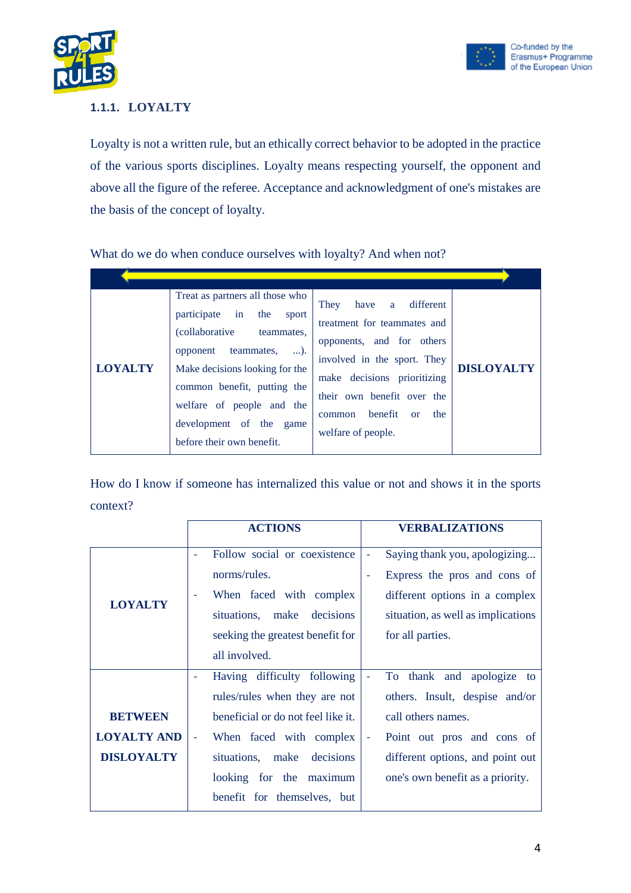



#### <span id="page-3-0"></span>**1.1.1. LOYALTY**

Loyalty is not a written rule, but an ethically correct behavior to be adopted in the practice of the various sports disciplines. Loyalty means respecting yourself, the opponent and above all the figure of the referee. Acceptance and acknowledgment of one's mistakes are the basis of the concept of loyalty.

What do we do when conduce ourselves with loyalty? And when not?

| <b>LOYALTY</b> | Treat as partners all those who<br>participate in the<br>sport<br><i>(collaborative)</i><br>teammates.<br>opponent teammates,<br>$\dots$ ).<br>Make decisions looking for the<br>common benefit, putting the<br>welfare of people and the<br>development of the game<br>before their own benefit. | have a different<br>They<br>treatment for teammates and<br>opponents, and for others<br>involved in the sport. They<br>make decisions prioritizing<br>their own benefit over the<br>benefit<br>the<br>$\alpha$<br>common<br>welfare of people. | <b>DISLOYALTY</b> |
|----------------|---------------------------------------------------------------------------------------------------------------------------------------------------------------------------------------------------------------------------------------------------------------------------------------------------|------------------------------------------------------------------------------------------------------------------------------------------------------------------------------------------------------------------------------------------------|-------------------|

|                    | <b>ACTIONS</b>                       | <b>VERBALIZATIONS</b>              |
|--------------------|--------------------------------------|------------------------------------|
|                    | Follow social or coexistence         | Saying thank you, apologizing<br>- |
|                    | norms/rules.                         | Express the pros and cons of<br>Ξ  |
|                    | When faced with complex<br>$\bar{a}$ | different options in a complex     |
| <b>LOYALTY</b>     | situations, make<br>decisions        | situation, as well as implications |
|                    | seeking the greatest benefit for     | for all parties.                   |
|                    | all involved.                        |                                    |
|                    | Having difficulty following          | To thank and apologize to<br>÷     |
|                    | rules/rules when they are not        | others. Insult, despise and/or     |
| <b>BETWEEN</b>     | beneficial or do not feel like it.   | call others names.                 |
| <b>LOYALTY AND</b> | When faced with complex              | Point out pros and cons of<br>÷,   |
| <b>DISLOYALTY</b>  | situations, make decisions           | different options, and point out   |
|                    | looking for the maximum              | one's own benefit as a priority.   |
|                    | benefit for themselves, but          |                                    |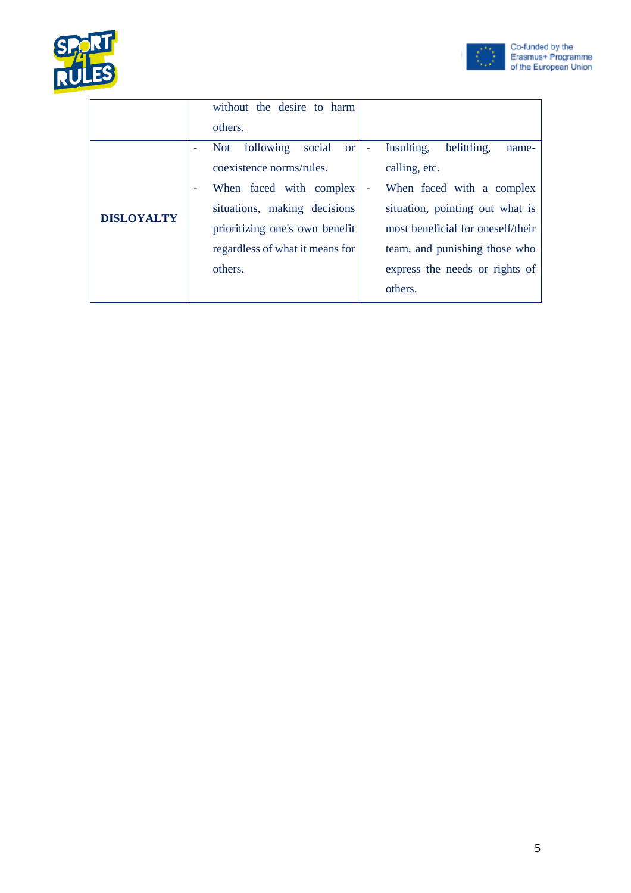



|                   | without the desire to harm         |                                         |
|-------------------|------------------------------------|-----------------------------------------|
|                   | others.                            |                                         |
|                   | following<br>social<br>Not<br>or 1 | Insulting,<br>belittling,<br>name-<br>٠ |
|                   | coexistence norms/rules.           | calling, etc.                           |
|                   | When faced with complex<br>٠       | When faced with a complex               |
| <b>DISLOYALTY</b> | situations, making decisions       | situation, pointing out what is         |
|                   | prioritizing one's own benefit     | most beneficial for oneself/their       |
|                   | regardless of what it means for    | team, and punishing those who           |
|                   | others.                            | express the needs or rights of          |
|                   |                                    | others.                                 |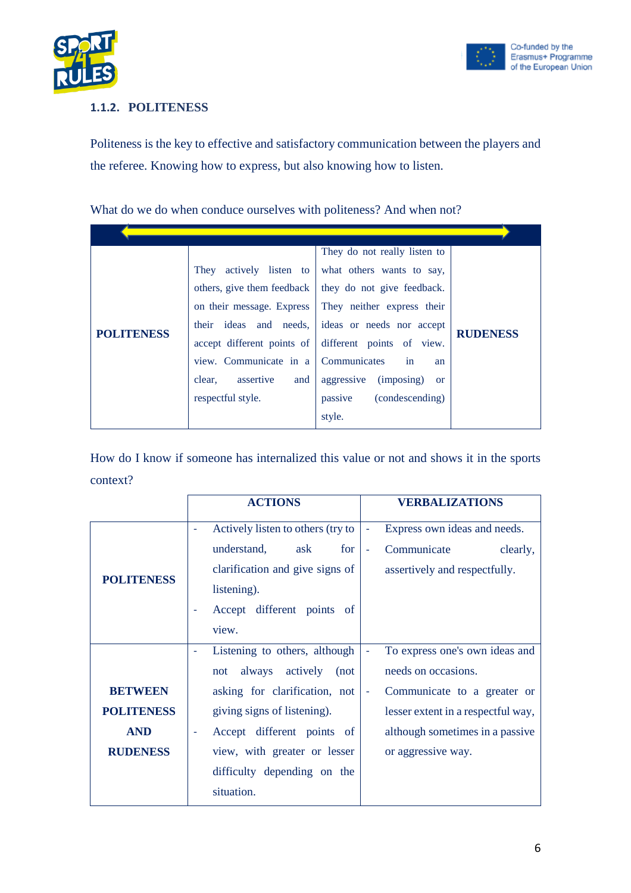



#### <span id="page-5-0"></span>**1.1.2. POLITENESS**

Politeness is the key to effective and satisfactory communication between the players and the referee. Knowing how to express, but also knowing how to listen.

What do we do when conduce ourselves with politeness? And when not?

|                   |                                     | They do not really listen to                         |                 |
|-------------------|-------------------------------------|------------------------------------------------------|-----------------|
|                   | They actively listen to             | what others wants to say,                            |                 |
|                   | others, give them feedback          | they do not give feedback.                           |                 |
|                   | on their message. Express           | They neither express their                           |                 |
|                   | their ideas and needs,              | ideas or needs nor accept                            |                 |
| <b>POLITENESS</b> |                                     | accept different points of different points of view. | <b>RUDENESS</b> |
|                   | view. Communicate in a Communicates | in<br>an                                             |                 |
|                   | assertive<br>and<br>clear.          | aggressive (imposing)<br><sub>or</sub>               |                 |
|                   | respectful style.                   | (condescending)<br>passive                           |                 |
|                   |                                     | style.                                               |                 |

|                   | <b>ACTIONS</b>                                                | <b>VERBALIZATIONS</b>                                   |  |
|-------------------|---------------------------------------------------------------|---------------------------------------------------------|--|
|                   | Actively listen to others (try to<br>$\overline{\phantom{a}}$ | Express own ideas and needs.<br>٠                       |  |
|                   | for<br>understand,<br>ask                                     | Communicate<br>clearly,<br>÷,                           |  |
| <b>POLITENESS</b> | clarification and give signs of                               | assertively and respectfully.                           |  |
|                   | listening).                                                   |                                                         |  |
|                   | Accept different points of                                    |                                                         |  |
|                   | view.                                                         |                                                         |  |
|                   | Listening to others, although                                 | To express one's own ideas and<br>$\blacksquare$        |  |
|                   | always<br>actively<br>(not<br>not                             | needs on occasions.                                     |  |
| <b>BETWEEN</b>    | asking for clarification, not                                 | Communicate to a greater or<br>$\overline{\phantom{a}}$ |  |
| <b>POLITENESS</b> | giving signs of listening).                                   | lesser extent in a respectful way,                      |  |
| <b>AND</b>        | Accept different points of                                    | although sometimes in a passive                         |  |
| <b>RUDENESS</b>   | view, with greater or lesser                                  | or aggressive way.                                      |  |
|                   | difficulty depending on the                                   |                                                         |  |
|                   | situation.                                                    |                                                         |  |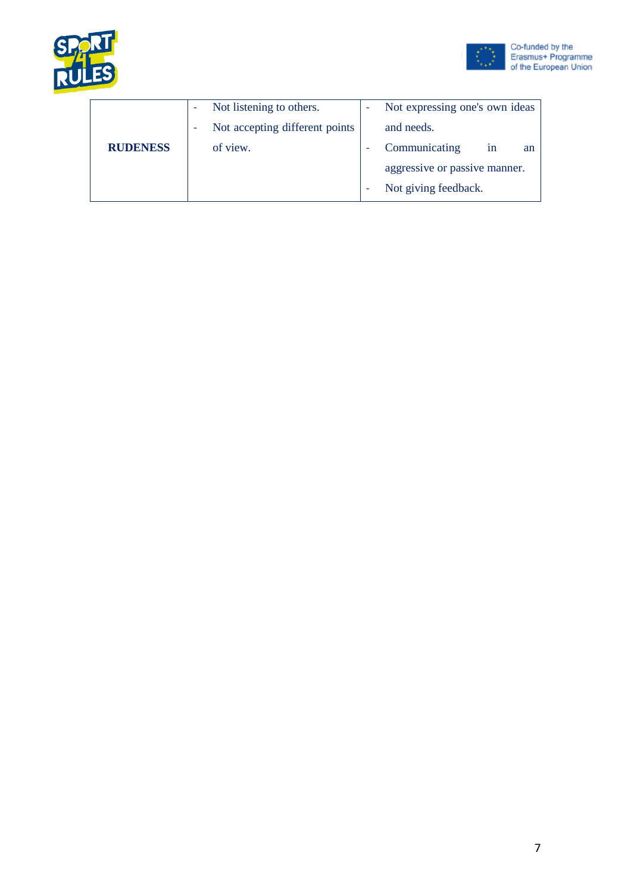



|                 | ٠ | Not listening to others.       | Not expressing one's own ideas |
|-----------------|---|--------------------------------|--------------------------------|
|                 | ٠ | Not accepting different points | and needs.                     |
| <b>RUDENESS</b> |   | of view.                       | Communicating<br>1n<br>an      |
|                 |   |                                | aggressive or passive manner.  |
|                 |   |                                | Not giving feedback.           |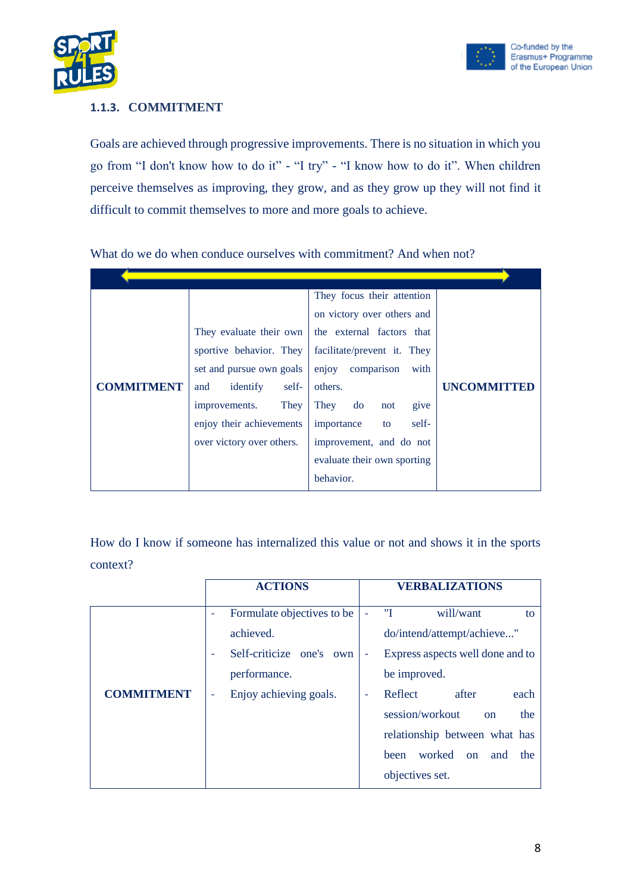

#### <span id="page-7-0"></span>**1.1.3. COMMITMENT**

Goals are achieved through progressive improvements. There is no situation in which you go from "I don't know how to do it" - "I try" - "I know how to do it". When children perceive themselves as improving, they grow, and as they grow up they will not find it difficult to commit themselves to more and more goals to achieve.

|                   |                           | They focus their attention  |                    |
|-------------------|---------------------------|-----------------------------|--------------------|
|                   |                           | on victory over others and  |                    |
|                   | They evaluate their own   | the external factors that   |                    |
|                   | sportive behavior. They   | facilitate/prevent it. They |                    |
|                   | set and pursue own goals  | enjoy comparison<br>with    |                    |
| <b>COMMITMENT</b> | identify<br>self-<br>and  | others.                     | <b>UNCOMMITTED</b> |
|                   | They<br>improvements.     | They do<br>give<br>not      |                    |
|                   | enjoy their achievements  | importance<br>self-<br>to   |                    |
|                   | over victory over others. | improvement, and do not     |                    |
|                   |                           | evaluate their own sporting |                    |
|                   |                           | behavior.                   |                    |

What do we do when conduce ourselves with commitment? And when not?

|                   | <b>ACTIONS</b>                  | <b>VERBALIZATIONS</b>                                |
|-------------------|---------------------------------|------------------------------------------------------|
|                   | Formulate objectives to be<br>۰ | "I<br>will/want<br>to                                |
|                   | achieved.                       | do/intend/attempt/achieve"                           |
|                   | Self-criticize one's own<br>٠   | Express aspects well done and to<br>۰                |
|                   | performance.                    | be improved.                                         |
| <b>COMMITMENT</b> | Enjoy achieving goals.<br>۰     | Reflect<br>after<br>each<br>$\overline{\phantom{a}}$ |
|                   |                                 | session/workout<br>the<br>$_{\rm on}$                |
|                   |                                 | relationship between what has                        |
|                   |                                 | worked<br>been<br>the<br>and<br><sub>on</sub>        |
|                   |                                 | objectives set.                                      |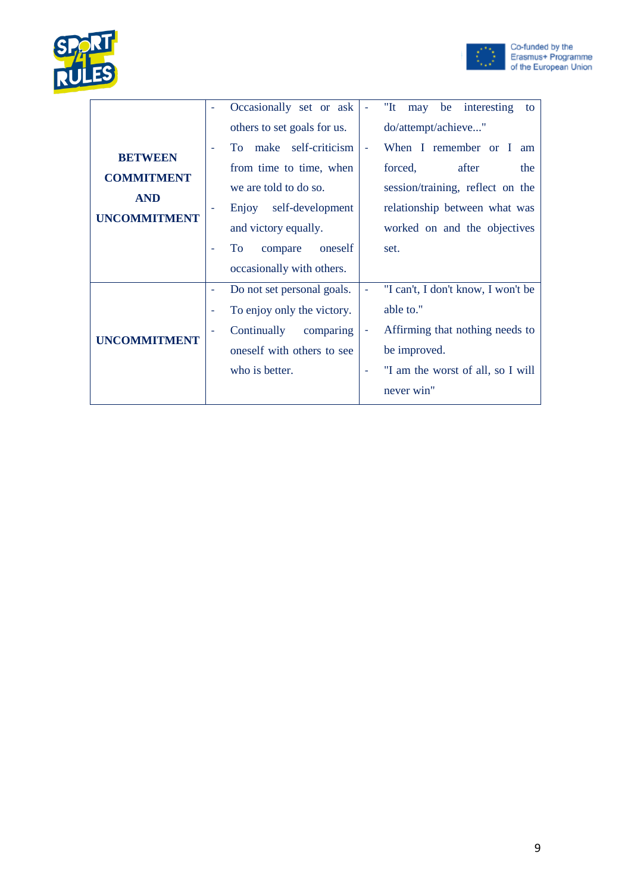



|                     | Occasionally set or ask<br>٠    | " $It$<br>be interesting<br>may<br>to               |
|---------------------|---------------------------------|-----------------------------------------------------|
|                     | others to set goals for us.     | do/attempt/achieve"                                 |
| <b>BETWEEN</b>      | To make self-criticism<br>٠     | When I remember or I am<br>$\overline{\phantom{a}}$ |
| <b>COMMITMENT</b>   | from time to time, when         | forced,<br>after<br>the                             |
| <b>AND</b>          | we are told to do so.           | session/training, reflect on the                    |
| <b>UNCOMMITMENT</b> | self-development<br>Enjoy       | relationship between what was                       |
|                     | and victory equally.            | worked on and the objectives                        |
|                     | To<br>oneself<br>compare        | set.                                                |
|                     | occasionally with others.       |                                                     |
|                     | Do not set personal goals.<br>٠ | "I can't, I don't know, I won't be                  |
|                     | To enjoy only the victory.<br>٠ | able to."                                           |
| <b>UNCOMMITMENT</b> | Continually<br>comparing<br>۰   | Affirming that nothing needs to<br>$\blacksquare$   |
|                     | oneself with others to see      | be improved.                                        |
|                     | who is better.                  | "I am the worst of all, so I will                   |
|                     |                                 | never win"                                          |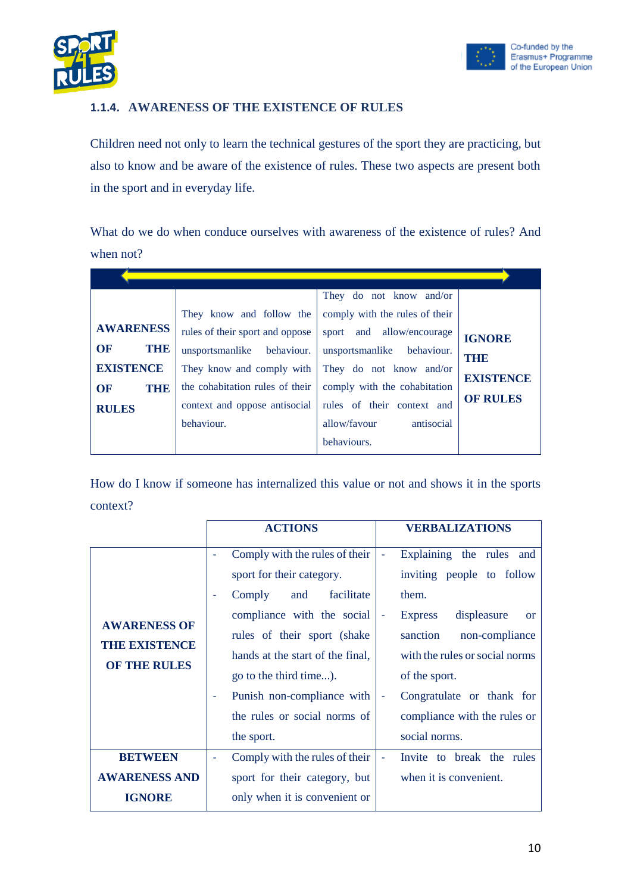



#### <span id="page-9-0"></span>**1.1.4. AWARENESS OF THE EXISTENCE OF RULES**

Children need not only to learn the technical gestures of the sport they are practicing, but also to know and be aware of the existence of rules. These two aspects are present both in the sport and in everyday life.

What do we do when conduce ourselves with awareness of the existence of rules? And when not?

|                   |                                 | They do not know and/or        |                  |
|-------------------|---------------------------------|--------------------------------|------------------|
|                   | They know and follow the        | comply with the rules of their |                  |
| <b>AWARENESS</b>  | rules of their sport and oppose | sport and allow/encourage      | <b>IGNORE</b>    |
| <b>OF</b><br>THE  | unsportsmanlike behaviour.      | unsportsmanlike behaviour.     | THE              |
| <b>EXISTENCE</b>  | They know and comply with       | They do not know and/or        | <b>EXISTENCE</b> |
| <b>OF</b><br>THIE | the cohabitation rules of their | comply with the cohabitation   |                  |
| <b>RULES</b>      | context and oppose antisocial   | rules of their context and     | <b>OF RULES</b>  |
|                   | behaviour.                      | allow/favour<br>antisocial     |                  |
|                   |                                 | behaviours.                    |                  |

| <b>ACTIONS</b>                                                                                                                                                                                                                                       | <b>VERBALIZATIONS</b>                                                                                                                                                                                                                                  |
|------------------------------------------------------------------------------------------------------------------------------------------------------------------------------------------------------------------------------------------------------|--------------------------------------------------------------------------------------------------------------------------------------------------------------------------------------------------------------------------------------------------------|
| Comply with the rules of their<br>sport for their category.<br>Comply<br>facilitate<br>and<br>compliance with the social<br>rules of their sport (shake)<br>hands at the start of the final,<br>go to the third time).<br>Punish non-compliance with | Explaining the rules and<br>$\overline{\phantom{a}}$<br>inviting people to follow<br>them.<br>displeasure<br><b>Express</b><br><b>or</b><br>sanction<br>non-compliance<br>with the rules or social norms<br>of the sport.<br>Congratulate or thank for |
| the rules or social norms of<br>the sport.                                                                                                                                                                                                           | compliance with the rules or<br>social norms.                                                                                                                                                                                                          |
| Comply with the rules of their<br>sport for their category, but<br>only when it is convenient or                                                                                                                                                     | Invite to break the rules<br>when it is convenient.                                                                                                                                                                                                    |
|                                                                                                                                                                                                                                                      |                                                                                                                                                                                                                                                        |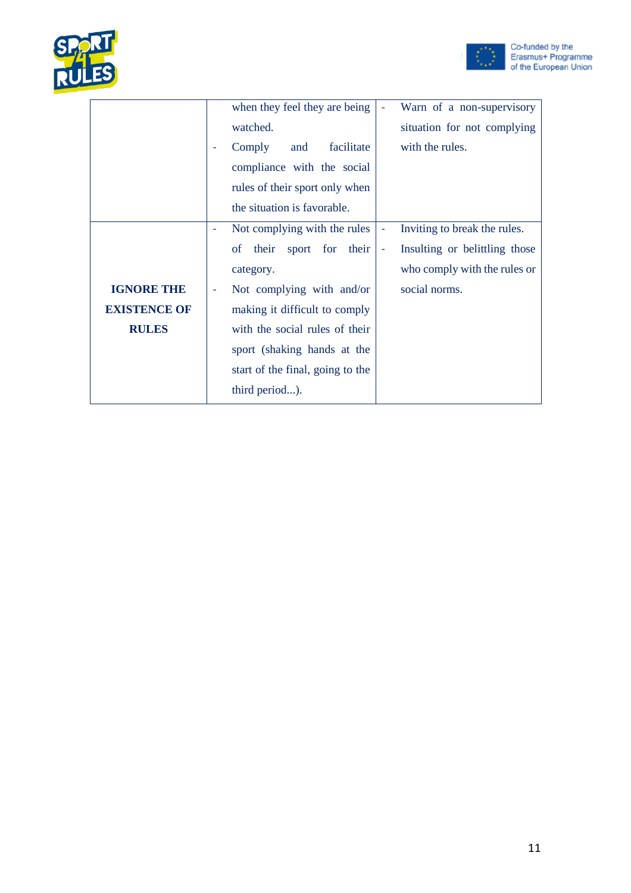



|                     | when they feel they are being    |                | Warn of a non-supervisory     |
|---------------------|----------------------------------|----------------|-------------------------------|
|                     | watched.                         |                | situation for not complying   |
|                     | facilitate<br>Comply<br>and      |                | with the rules.               |
|                     | compliance with the social       |                |                               |
|                     | rules of their sport only when   |                |                               |
|                     | the situation is favorable.      |                |                               |
|                     | Not complying with the rules     | ٠              | Inviting to break the rules.  |
|                     | of their sport for their         | $\blacksquare$ | Insulting or belittling those |
|                     | category.                        |                | who comply with the rules or  |
| <b>IGNORE THE</b>   | Not complying with and/or        |                | social norms.                 |
| <b>EXISTENCE OF</b> | making it difficult to comply    |                |                               |
| <b>RULES</b>        | with the social rules of their   |                |                               |
|                     | sport (shaking hands at the      |                |                               |
|                     | start of the final, going to the |                |                               |
|                     | third period).                   |                |                               |
|                     |                                  |                |                               |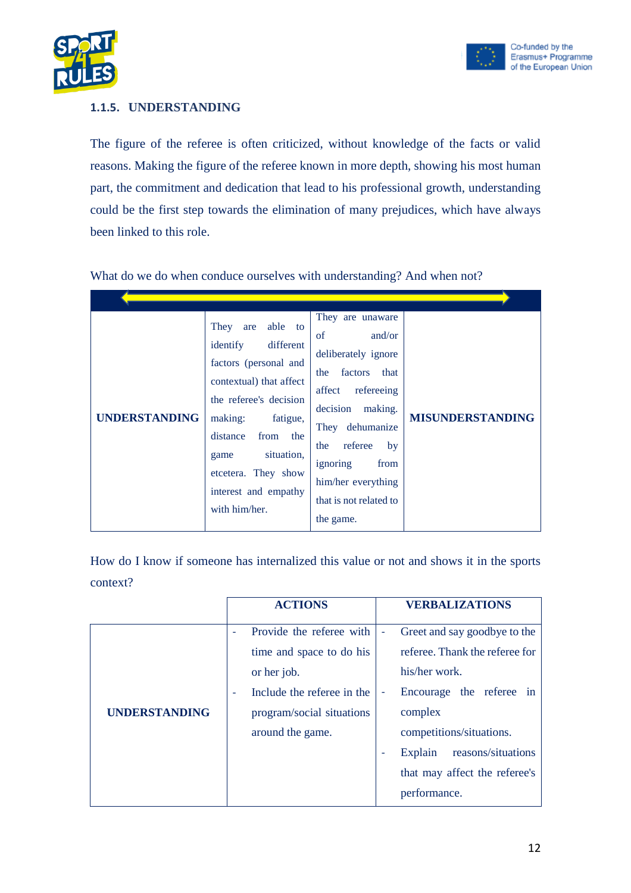

#### <span id="page-11-0"></span>**1.1.5. UNDERSTANDING**

The figure of the referee is often criticized, without knowledge of the facts or valid reasons. Making the figure of the referee known in more depth, showing his most human part, the commitment and dedication that lead to his professional growth, understanding could be the first step towards the elimination of many prejudices, which have always been linked to this role.

| <b>UNDERSTANDING</b> | They are able to<br>identify<br>different<br>factors (personal and<br>contextual) that affect<br>the referee's decision<br>making:<br>fatigue,<br>from the<br>distance<br>situation,<br>game<br>etcetera. They show<br>interest and empathy<br>with him/her. | They are unaware<br>of<br>and/or<br>deliberately ignore<br>factors<br>that<br>the<br>affect<br>refereeing<br>decision making.<br>They dehumanize<br>referee<br>by<br>the<br>ignoring<br>from<br>him/her everything<br>that is not related to<br>the game. | <b>MISUNDERSTANDING</b> |
|----------------------|--------------------------------------------------------------------------------------------------------------------------------------------------------------------------------------------------------------------------------------------------------------|-----------------------------------------------------------------------------------------------------------------------------------------------------------------------------------------------------------------------------------------------------------|-------------------------|

What do we do when conduce ourselves with understanding? And when not?

|                      | <b>ACTIONS</b>                                         | <b>VERBALIZATIONS</b>              |
|----------------------|--------------------------------------------------------|------------------------------------|
|                      | Provide the referee with                               | Greet and say goodbye to the<br>÷  |
|                      | time and space to do his                               | referee. Thank the referee for     |
|                      | or her job.                                            | his/her work.                      |
|                      | Include the referee in the<br>$\overline{\phantom{a}}$ | Encourage the referee in<br>٠      |
| <b>UNDERSTANDING</b> | program/social situations                              | complex                            |
|                      | around the game.                                       | competitions/situations.           |
|                      |                                                        | reasons/situations<br>Explain<br>- |
|                      |                                                        | that may affect the referee's      |
|                      |                                                        | performance.                       |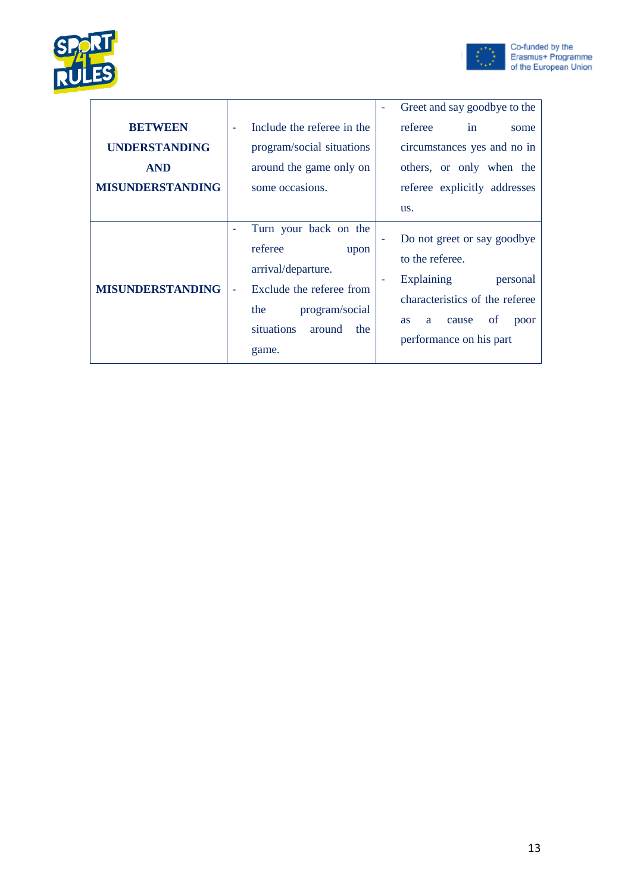



|                         |                                                                                                                                                                                                | Greet and say goodbye to the                                                                                                                                                                     |
|-------------------------|------------------------------------------------------------------------------------------------------------------------------------------------------------------------------------------------|--------------------------------------------------------------------------------------------------------------------------------------------------------------------------------------------------|
| <b>BETWEEN</b>          | Include the referee in the<br>÷,                                                                                                                                                               | referee<br>in<br>some                                                                                                                                                                            |
| <b>UNDERSTANDING</b>    | program/social situations                                                                                                                                                                      | circumstances yes and no in                                                                                                                                                                      |
| <b>AND</b>              | around the game only on                                                                                                                                                                        | others, or only when the                                                                                                                                                                         |
| <b>MISUNDERSTANDING</b> | some occasions.                                                                                                                                                                                | referee explicitly addresses                                                                                                                                                                     |
|                         |                                                                                                                                                                                                | us.                                                                                                                                                                                              |
| <b>MISUNDERSTANDING</b> | Turn your back on the<br>referee<br>upon<br>arrival/departure.<br>Exclude the referee from<br>$\overline{\phantom{a}}$<br>program/social<br>the<br><i>situations</i><br>around<br>the<br>game. | Do not greet or say goodbye<br>to the referee.<br><b>Explaining</b><br>personal<br>characteristics of the referee<br><sub>of</sub><br>cause<br>poor<br><b>as</b><br>a<br>performance on his part |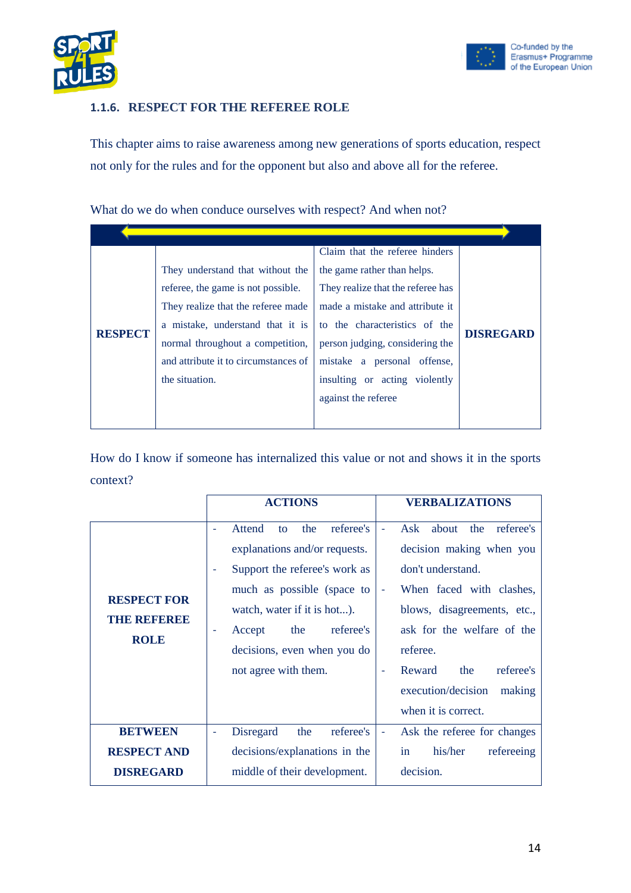



#### <span id="page-13-0"></span>**1.1.6. RESPECT FOR THE REFEREE ROLE**

This chapter aims to raise awareness among new generations of sports education, respect not only for the rules and for the opponent but also and above all for the referee.

What do we do when conduce ourselves with respect? And when not?

|                |                                      | Claim that the referee hinders    |                  |
|----------------|--------------------------------------|-----------------------------------|------------------|
|                | They understand that without the     | the game rather than helps.       |                  |
|                | referee, the game is not possible.   | They realize that the referee has |                  |
|                | They realize that the referee made   | made a mistake and attribute it   |                  |
|                | a mistake, understand that it is     | to the characteristics of the     |                  |
| <b>RESPECT</b> | normal throughout a competition,     | person judging, considering the   | <b>DISREGARD</b> |
|                | and attribute it to circumstances of | mistake a personal offense,       |                  |
|                | the situation.                       | insulting or acting violently     |                  |
|                |                                      | against the referee               |                  |
|                |                                      |                                   |                  |

|                                                          | <b>ACTIONS</b>                                                                                                                                                                                                                                       | <b>VERBALIZATIONS</b>                                                                                                                                                                                                                                                                                   |
|----------------------------------------------------------|------------------------------------------------------------------------------------------------------------------------------------------------------------------------------------------------------------------------------------------------------|---------------------------------------------------------------------------------------------------------------------------------------------------------------------------------------------------------------------------------------------------------------------------------------------------------|
| <b>RESPECT FOR</b><br>THE REFEREE<br><b>ROLE</b>         | referee's<br>the<br>Attend<br>to<br>explanations and/or requests.<br>Support the referee's work as<br>much as possible (space to<br>watch, water if it is hot).<br>referee's<br>the<br>Accept<br>decisions, even when you do<br>not agree with them. | Ask<br>about<br>the<br>referee's<br>decision making when you<br>don't understand.<br>When faced with clashes,<br>blows, disagreements, etc.,<br>ask for the welfare of the<br>referee.<br>referee's<br>Reward<br>the<br>$\overline{\phantom{0}}$<br>execution/decision<br>making<br>when it is correct. |
| <b>BETWEEN</b><br><b>RESPECT AND</b><br><b>DISREGARD</b> | referee's<br><b>Disregard</b><br>the<br>$\overline{\phantom{a}}$<br>decisions/explanations in the<br>middle of their development.                                                                                                                    | Ask the referee for changes<br>٠<br>his/her<br>refereeing<br>in<br>decision.                                                                                                                                                                                                                            |
|                                                          |                                                                                                                                                                                                                                                      |                                                                                                                                                                                                                                                                                                         |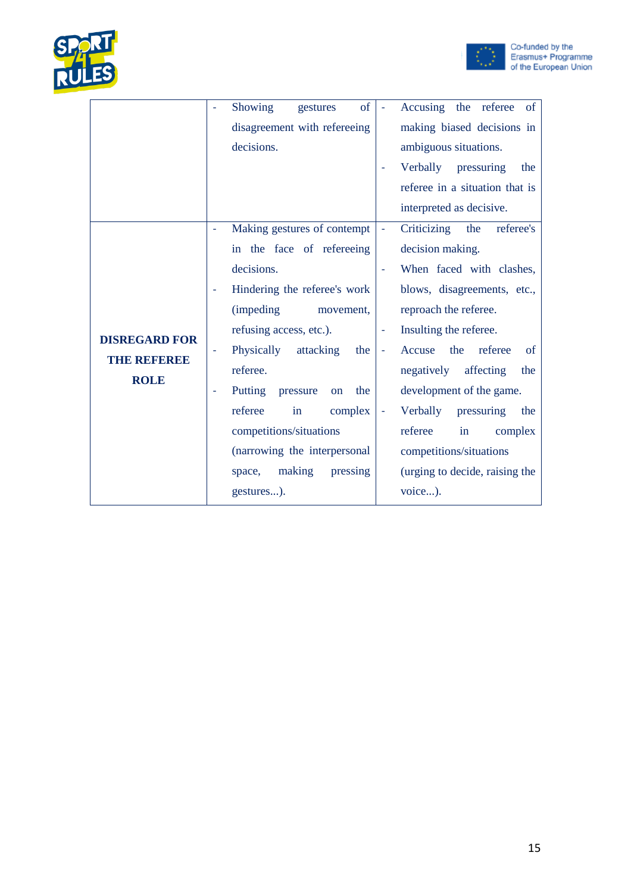



|                      |    | Showing<br>of<br>gestures      |                          | Accusing the referee<br>of                |
|----------------------|----|--------------------------------|--------------------------|-------------------------------------------|
|                      |    | disagreement with refereeing   |                          | making biased decisions in                |
|                      |    | decisions.                     |                          | ambiguous situations.                     |
|                      |    |                                |                          | Verbally pressuring<br>the                |
|                      |    |                                |                          | referee in a situation that is            |
|                      |    |                                |                          | interpreted as decisive.                  |
|                      | ÷, | Making gestures of contempt    | $\equiv$                 | Criticizing<br>the<br>referee's           |
|                      |    | in the face of refereeing      |                          | decision making.                          |
|                      |    | decisions.                     |                          | When faced with clashes,                  |
|                      |    | Hindering the referee's work   |                          | blows, disagreements, etc.,               |
|                      |    | <i>(impeding)</i><br>movement, |                          | reproach the referee.                     |
| <b>DISREGARD FOR</b> |    | refusing access, etc.).        |                          | Insulting the referee.                    |
| THE REFERE           |    | Physically<br>attacking<br>the | $\overline{\phantom{a}}$ | referee<br>the<br>Accuse<br><sub>of</sub> |
| <b>ROLE</b>          |    | referee.                       |                          | negatively<br>affecting<br>the            |
|                      |    | Putting pressure<br>the<br>on  |                          | development of the game.                  |
|                      |    | referee<br>complex<br>in       |                          | Verbally<br>pressuring<br>the             |
|                      |    | competitions/situations        |                          | referee<br>in<br>complex                  |
|                      |    | (narrowing the interpersonal   |                          | competitions/situations                   |
|                      |    | making<br>pressing<br>space,   |                          | (urging to decide, raising the            |
|                      |    | gestures).                     |                          | voice).                                   |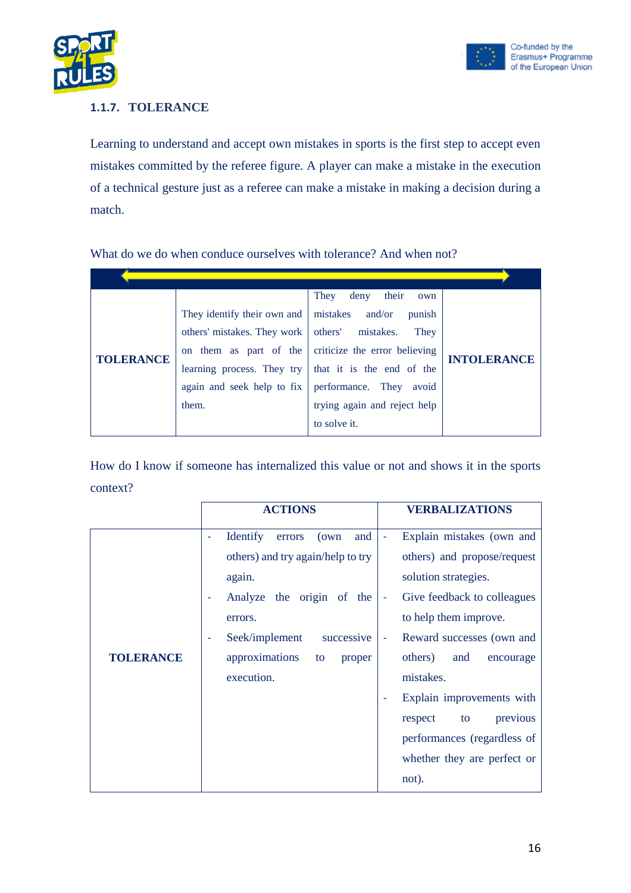



#### <span id="page-15-0"></span>**1.1.7. TOLERANCE**

Learning to understand and accept own mistakes in sports is the first step to accept even mistakes committed by the referee figure. A player can make a mistake in the execution of a technical gesture just as a referee can make a mistake in making a decision during a match.

What do we do when conduce ourselves with tolerance? And when not?

|                  |                             | They<br>their<br>deny<br>own                                 |                    |
|------------------|-----------------------------|--------------------------------------------------------------|--------------------|
|                  | They identify their own and | mistakes and/or<br>punish                                    |                    |
| <b>TOLERANCE</b> | others' mistakes. They work | others' mistakes.<br>They                                    |                    |
|                  |                             | on them as part of the criticize the error believing         | <b>INTOLERANCE</b> |
|                  |                             | learning process. They try $\vert$ that it is the end of the |                    |
|                  | again and seek help to fix  | performance. They<br>avoid                                   |                    |
|                  | them.                       | trying again and reject help                                 |                    |
|                  |                             | to solve it.                                                 |                    |

|                  | <b>ACTIONS</b>                            | <b>VERBALIZATIONS</b>                                   |
|------------------|-------------------------------------------|---------------------------------------------------------|
|                  | <b>Identify</b><br>and<br>(own)<br>errors | Explain mistakes (own and<br>۰                          |
|                  | others) and try again/help to try         | others) and propose/request                             |
|                  | again.                                    | solution strategies.                                    |
|                  | Analyze the origin of the                 | Give feedback to colleagues<br>$\overline{\phantom{a}}$ |
|                  | errors.                                   | to help them improve.                                   |
|                  | Seek/implement<br>successive<br>٠         | Reward successes (own and<br>۰                          |
| <b>TOLERANCE</b> | approximations<br>proper<br>to            | others)<br>and<br>encourage                             |
|                  | execution.                                | mistakes.                                               |
|                  |                                           | Explain improvements with                               |
|                  |                                           | previous<br>respect<br>to                               |
|                  |                                           | performances (regardless of                             |
|                  |                                           | whether they are perfect or                             |
|                  |                                           | not).                                                   |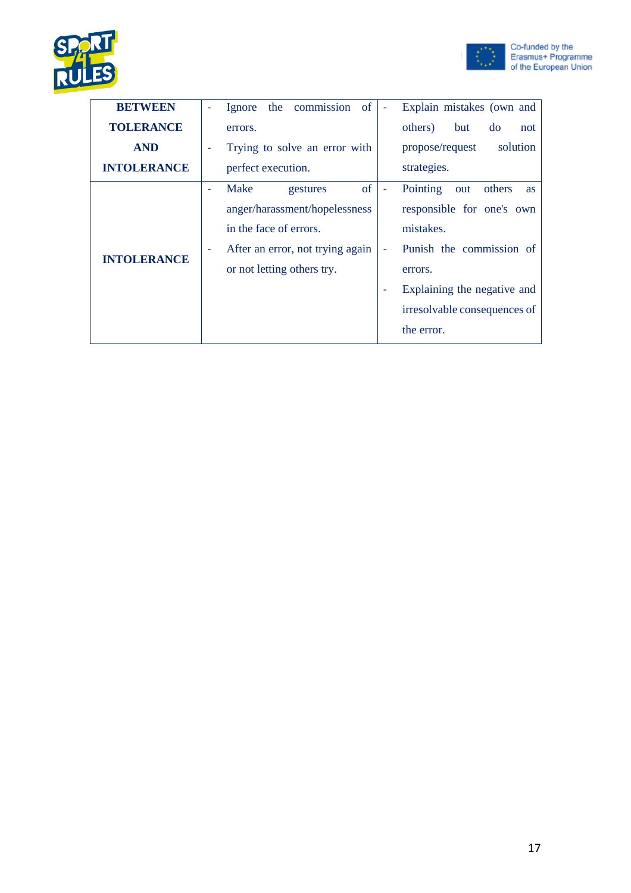



| <b>BETWEEN</b>     |   | of<br>commission<br>Explain mistakes (own and<br>the<br>Ignore   |
|--------------------|---|------------------------------------------------------------------|
| <b>TOLERANCE</b>   |   | others)<br>but<br>do<br>not<br>errors.                           |
| <b>AND</b>         | ٠ | solution<br>Trying to solve an error with<br>propose/request     |
| <b>INTOLERANCE</b> |   | strategies.<br>perfect execution.                                |
|                    |   | of<br>Pointing<br>Make<br>others<br>gestures<br>out<br><b>as</b> |
|                    |   | anger/harassment/hopelessness<br>responsible for one's own       |
|                    |   | in the face of errors.<br>mistakes.                              |
|                    |   | Punish the commission of<br>After an error, not trying again     |
| <b>INTOLERANCE</b> |   | or not letting others try.<br>errors.                            |
|                    |   | Explaining the negative and                                      |
|                    |   | irresolvable consequences of                                     |
|                    |   | the error.                                                       |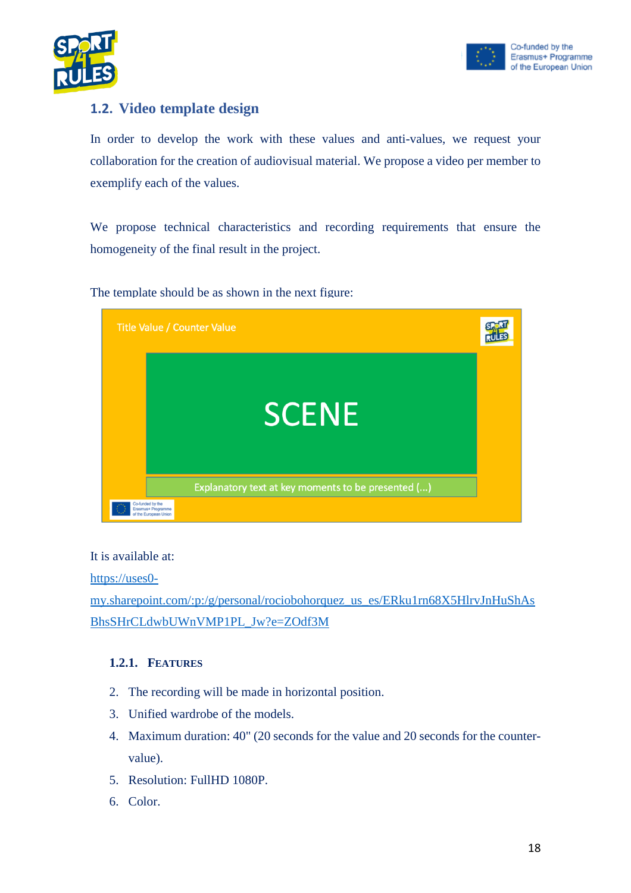



#### <span id="page-17-0"></span>**1.2. Video template design**

In order to develop the work with these values and anti-values, we request your collaboration for the creation of audiovisual material. We propose a video per member to exemplify each of the values.

We propose technical characteristics and recording requirements that ensure the homogeneity of the final result in the project.

The template should be as shown in the next figure:



It is available at:

[https://uses0-](https://uses0-my.sharepoint.com/:p:/g/personal/rociobohorquez_us_es/ERku1rn68X5HlrvJnHuShAsBhsSHrCLdwbUWnVMP1PL_Jw?e=ZOdf3M)

[my.sharepoint.com/:p:/g/personal/rociobohorquez\\_us\\_es/ERku1rn68X5HlrvJnHuShAs](https://uses0-my.sharepoint.com/:p:/g/personal/rociobohorquez_us_es/ERku1rn68X5HlrvJnHuShAsBhsSHrCLdwbUWnVMP1PL_Jw?e=ZOdf3M) [BhsSHrCLdwbUWnVMP1PL\\_Jw?e=ZOdf3M](https://uses0-my.sharepoint.com/:p:/g/personal/rociobohorquez_us_es/ERku1rn68X5HlrvJnHuShAsBhsSHrCLdwbUWnVMP1PL_Jw?e=ZOdf3M)

#### <span id="page-17-1"></span>**1.2.1. FEATURES**

- 2. The recording will be made in horizontal position.
- 3. Unified wardrobe of the models.
- 4. Maximum duration: 40" (20 seconds for the value and 20 seconds for the countervalue).
- 5. Resolution: FullHD 1080P.
- 6. Color.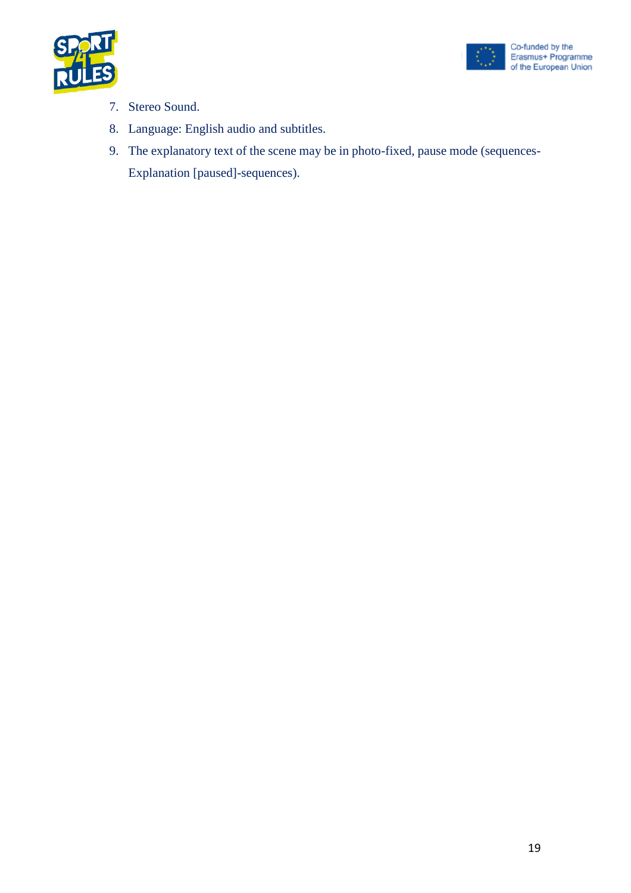



- 7. Stereo Sound.
- 8. Language: English audio and subtitles.
- 9. The explanatory text of the scene may be in photo-fixed, pause mode (sequences-Explanation [paused]-sequences).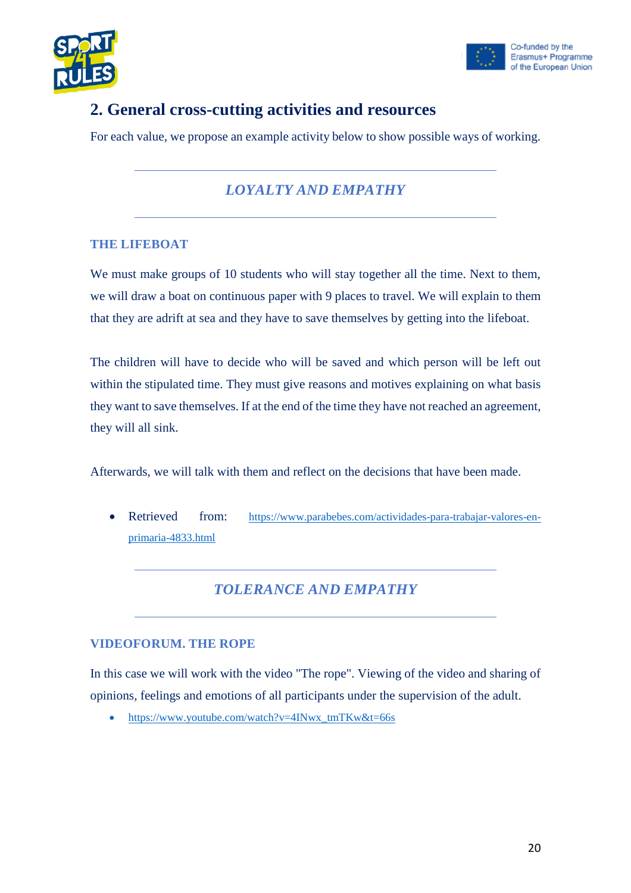



# <span id="page-19-0"></span>**2. General cross-cutting activities and resources**

For each value, we propose an example activity below to show possible ways of working.

## *LOYALTY AND EMPATHY*

#### **THE LIFEBOAT**

We must make groups of 10 students who will stay together all the time. Next to them, we will draw a boat on continuous paper with 9 places to travel. We will explain to them that they are adrift at sea and they have to save themselves by getting into the lifeboat.

The children will have to decide who will be saved and which person will be left out within the stipulated time. They must give reasons and motives explaining on what basis they want to save themselves. If at the end of the time they have not reached an agreement, they will all sink.

Afterwards, we will talk with them and reflect on the decisions that have been made.

• Retrieved from: [https://www.parabebes.com/actividades-para-trabajar-valores-en](https://www.parabebes.com/actividades-para-trabajar-valores-en-primaria-4833.html)[primaria-4833.html](https://www.parabebes.com/actividades-para-trabajar-valores-en-primaria-4833.html)

*TOLERANCE AND EMPATHY*

#### **VIDEOFORUM. THE ROPE**

In this case we will work with the video "The rope". Viewing of the video and sharing of opinions, feelings and emotions of all participants under the supervision of the adult.

• [https://www.youtube.com/watch?v=4INwx\\_tmTKw&t=66s](https://www.youtube.com/watch?v=4INwx_tmTKw&t=66s)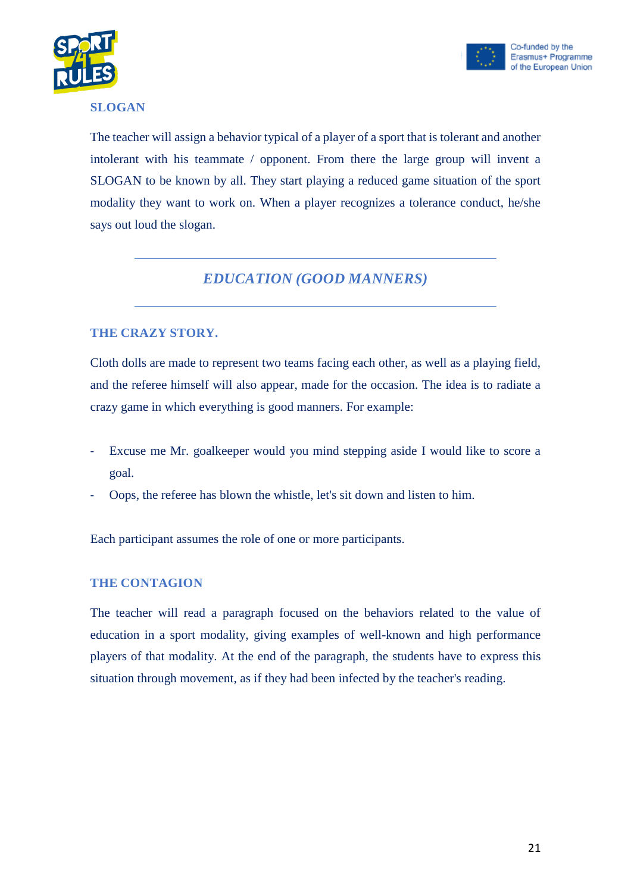



#### **SLOGAN**

The teacher will assign a behavior typical of a player of a sport that is tolerant and another intolerant with his teammate / opponent. From there the large group will invent a SLOGAN to be known by all. They start playing a reduced game situation of the sport modality they want to work on. When a player recognizes a tolerance conduct, he/she says out loud the slogan.

### *EDUCATION (GOOD MANNERS)*

#### **THE CRAZY STORY.**

Cloth dolls are made to represent two teams facing each other, as well as a playing field, and the referee himself will also appear, made for the occasion. The idea is to radiate a crazy game in which everything is good manners. For example:

- Excuse me Mr. goalkeeper would you mind stepping aside I would like to score a goal.
- Oops, the referee has blown the whistle, let's sit down and listen to him.

Each participant assumes the role of one or more participants.

#### **THE CONTAGION**

The teacher will read a paragraph focused on the behaviors related to the value of education in a sport modality, giving examples of well-known and high performance players of that modality. At the end of the paragraph, the students have to express this situation through movement, as if they had been infected by the teacher's reading.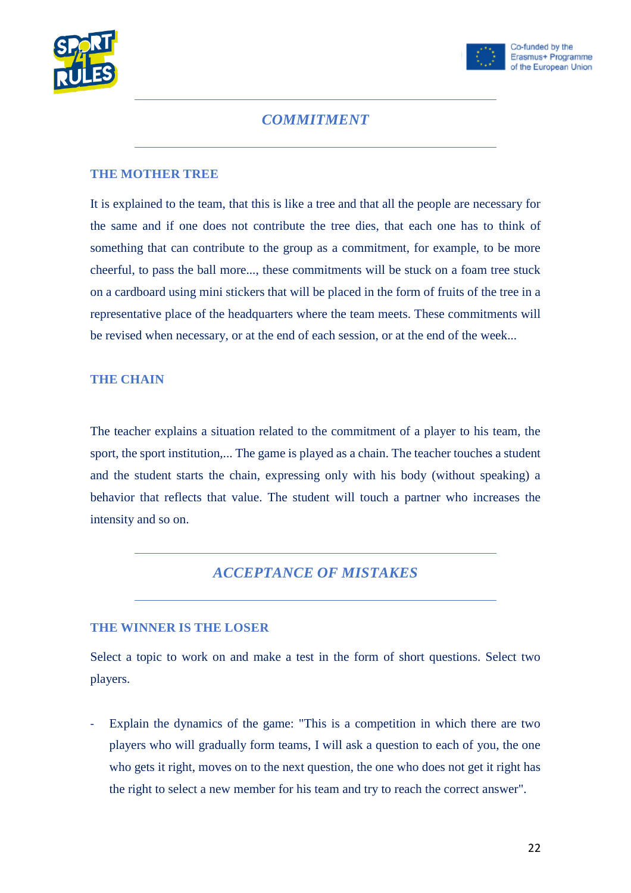



#### *COMMITMENT*

#### **THE MOTHER TREE**

It is explained to the team, that this is like a tree and that all the people are necessary for the same and if one does not contribute the tree dies, that each one has to think of something that can contribute to the group as a commitment, for example, to be more cheerful, to pass the ball more..., these commitments will be stuck on a foam tree stuck on a cardboard using mini stickers that will be placed in the form of fruits of the tree in a representative place of the headquarters where the team meets. These commitments will be revised when necessary, or at the end of each session, or at the end of the week...

#### **THE CHAIN**

The teacher explains a situation related to the commitment of a player to his team, the sport, the sport institution,... The game is played as a chain. The teacher touches a student and the student starts the chain, expressing only with his body (without speaking) a behavior that reflects that value. The student will touch a partner who increases the intensity and so on.

#### *ACCEPTANCE OF MISTAKES*

#### **THE WINNER IS THE LOSER**

Select a topic to work on and make a test in the form of short questions. Select two players.

Explain the dynamics of the game: "This is a competition in which there are two players who will gradually form teams, I will ask a question to each of you, the one who gets it right, moves on to the next question, the one who does not get it right has the right to select a new member for his team and try to reach the correct answer".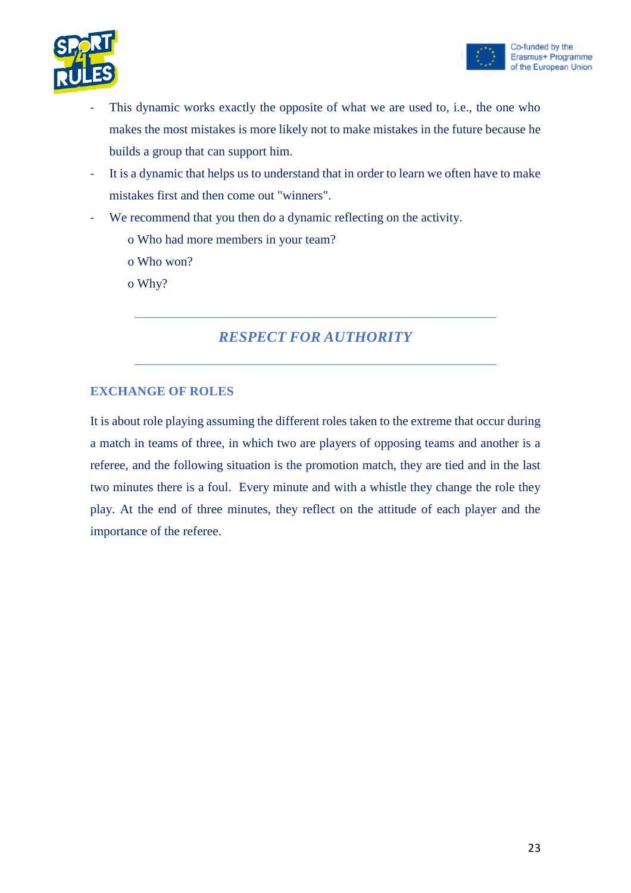



- This dynamic works exactly the opposite of what we are used to, i.e., the one who makes the most mistakes is more likely not to make mistakes in the future because he builds a group that can support him.
- It is a dynamic that helps us to understand that in order to learn we often have to make mistakes first and then come out "winners".
- We recommend that you then do a dynamic reflecting on the activity.
	- o Who had more members in your team?
	- o Who won?
	- o Why?

#### *RESPECT FOR AUTHORITY*

#### **EXCHANGE OF ROLES**

It is about role playing assuming the different roles taken to the extreme that occur during a match in teams of three, in which two are players of opposing teams and another is a referee, and the following situation is the promotion match, they are tied and in the last two minutes there is a foul. Every minute and with a whistle they change the role they play. At the end of three minutes, they reflect on the attitude of each player and the importance of the referee.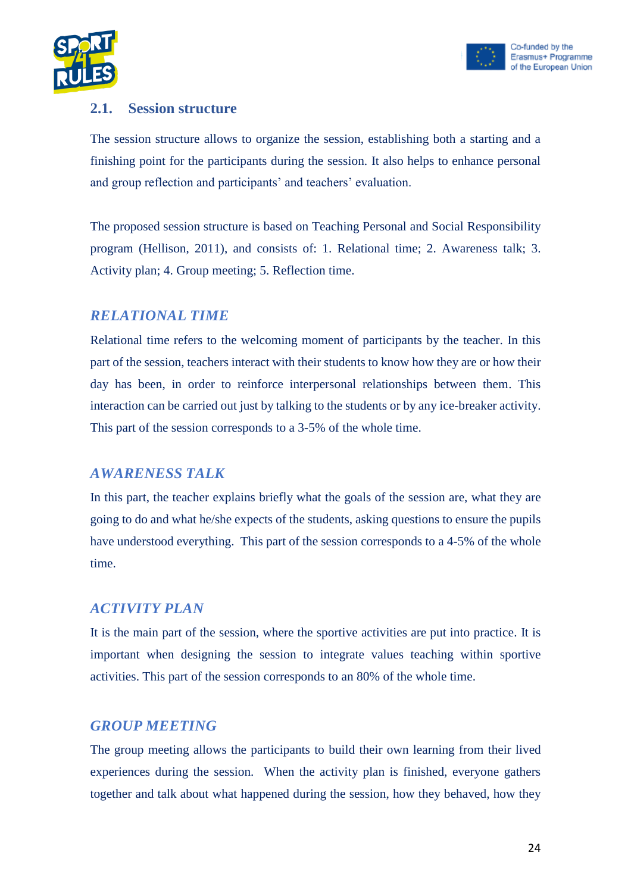



#### <span id="page-23-0"></span>**2.1. Session structure**

The session structure allows to organize the session, establishing both a starting and a finishing point for the participants during the session. It also helps to enhance personal and group reflection and participants' and teachers' evaluation.

The proposed session structure is based on Teaching Personal and Social Responsibility program (Hellison, 2011), and consists of: 1. Relational time; 2. Awareness talk; 3. Activity plan; 4. Group meeting; 5. Reflection time.

#### *RELATIONAL TIME*

Relational time refers to the welcoming moment of participants by the teacher. In this part of the session, teachers interact with their students to know how they are or how their day has been, in order to reinforce interpersonal relationships between them. This interaction can be carried out just by talking to the students or by any ice-breaker activity. This part of the session corresponds to a 3-5% of the whole time.

#### *AWARENESS TALK*

In this part, the teacher explains briefly what the goals of the session are, what they are going to do and what he/she expects of the students, asking questions to ensure the pupils have understood everything. This part of the session corresponds to a 4-5% of the whole time.

#### *ACTIVITY PLAN*

It is the main part of the session, where the sportive activities are put into practice. It is important when designing the session to integrate values teaching within sportive activities. This part of the session corresponds to an 80% of the whole time.

#### *GROUP MEETING*

The group meeting allows the participants to build their own learning from their lived experiences during the session. When the activity plan is finished, everyone gathers together and talk about what happened during the session, how they behaved, how they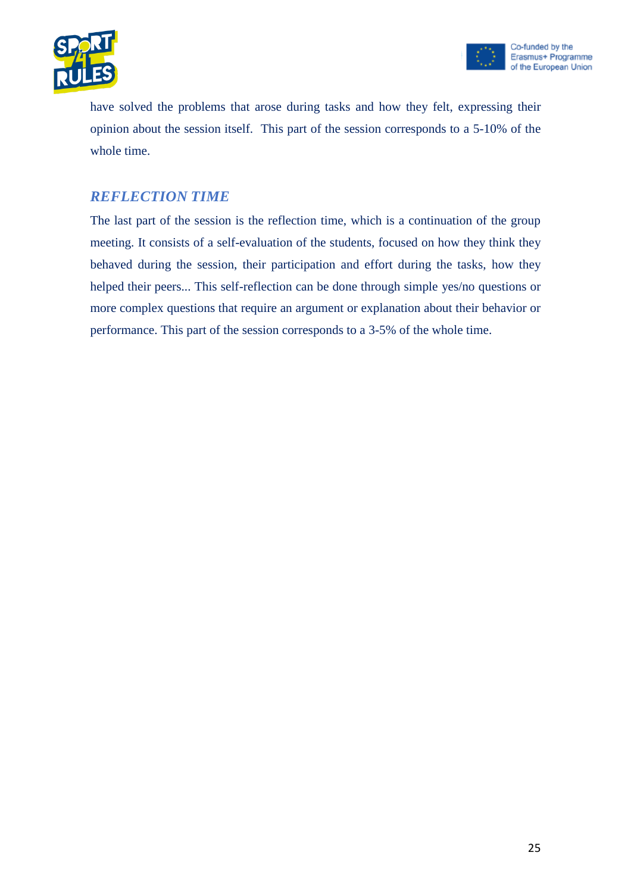



have solved the problems that arose during tasks and how they felt, expressing their opinion about the session itself. This part of the session corresponds to a 5-10% of the whole time.

#### *REFLECTION TIME*

The last part of the session is the reflection time, which is a continuation of the group meeting. It consists of a self-evaluation of the students, focused on how they think they behaved during the session, their participation and effort during the tasks, how they helped their peers... This self-reflection can be done through simple yes/no questions or more complex questions that require an argument or explanation about their behavior or performance. This part of the session corresponds to a 3-5% of the whole time.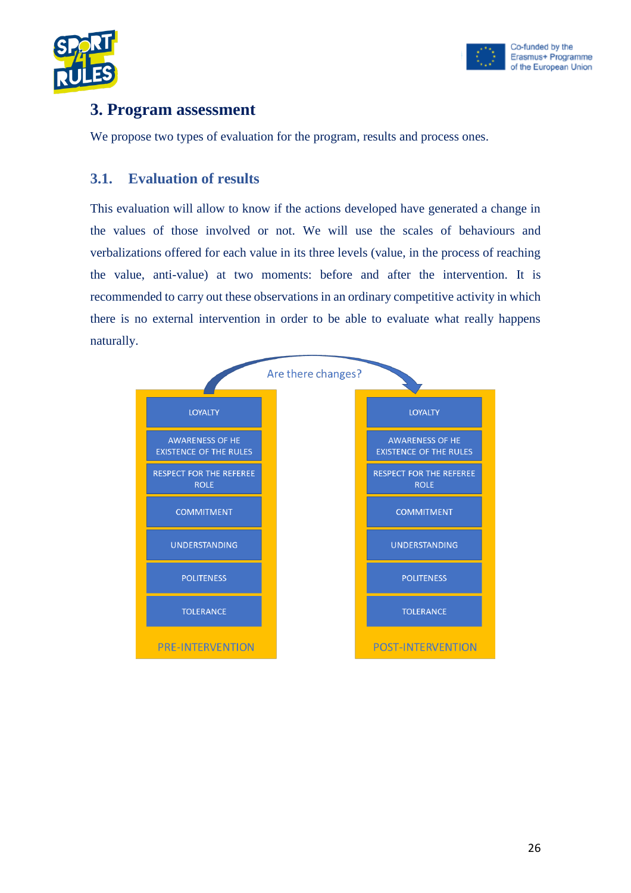



# <span id="page-25-0"></span>**3. Program assessment**

We propose two types of evaluation for the program, results and process ones.

#### <span id="page-25-1"></span>**3.1. Evaluation of results**

This evaluation will allow to know if the actions developed have generated a change in the values of those involved or not. We will use the scales of behaviours and verbalizations offered for each value in its three levels (value, in the process of reaching the value, anti-value) at two moments: before and after the intervention. It is recommended to carry out these observations in an ordinary competitive activity in which there is no external intervention in order to be able to evaluate what really happens naturally.

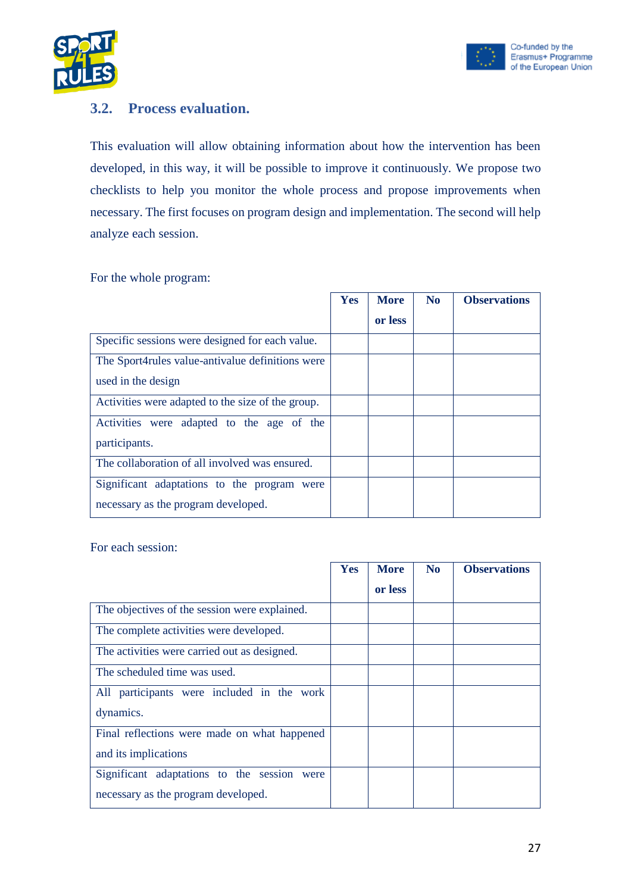



#### <span id="page-26-0"></span>**3.2. Process evaluation.**

This evaluation will allow obtaining information about how the intervention has been developed, in this way, it will be possible to improve it continuously. We propose two checklists to help you monitor the whole process and propose improvements when necessary. The first focuses on program design and implementation. The second will help analyze each session.

For the whole program:

|                                                   | Yes | <b>More</b> | N <sub>0</sub> | <b>Observations</b> |
|---------------------------------------------------|-----|-------------|----------------|---------------------|
|                                                   |     | or less     |                |                     |
| Specific sessions were designed for each value.   |     |             |                |                     |
| The Sport4rules value-antivalue definitions were  |     |             |                |                     |
| used in the design                                |     |             |                |                     |
| Activities were adapted to the size of the group. |     |             |                |                     |
| Activities were adapted to the age of the         |     |             |                |                     |
| participants.                                     |     |             |                |                     |
| The collaboration of all involved was ensured.    |     |             |                |                     |
| Significant adaptations to the program were       |     |             |                |                     |
| necessary as the program developed.               |     |             |                |                     |

For each session:

|                                                | <b>Yes</b> | <b>More</b> | N <sub>0</sub> | <b>Observations</b> |
|------------------------------------------------|------------|-------------|----------------|---------------------|
|                                                |            | or less     |                |                     |
| The objectives of the session were explained.  |            |             |                |                     |
| The complete activities were developed.        |            |             |                |                     |
| The activities were carried out as designed.   |            |             |                |                     |
| The scheduled time was used.                   |            |             |                |                     |
| All participants were included in the work     |            |             |                |                     |
| dynamics.                                      |            |             |                |                     |
| Final reflections were made on what happened   |            |             |                |                     |
| and its implications                           |            |             |                |                     |
| Significant adaptations to the session<br>were |            |             |                |                     |
| necessary as the program developed.            |            |             |                |                     |